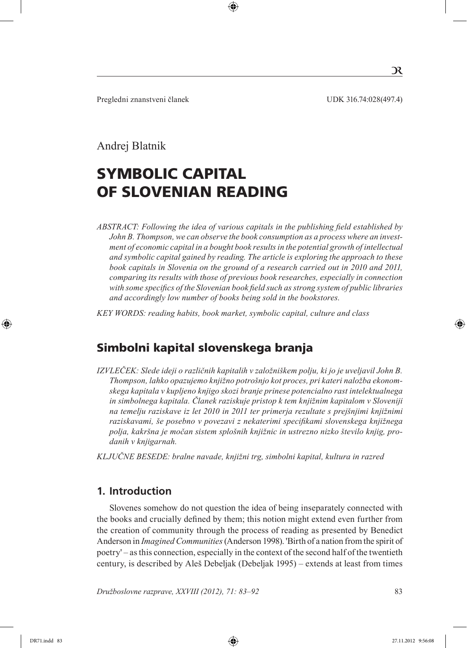$\mathcal{R}$ 

## Andrej Blatnik

# SYMBOLIC CAPITAL OF SLOVENIAN READING

*Abstract: Following the idea of various capitals in the publishing field established by John B. Thompson, we can observe the book consumption as a process where an investment of economic capital in a bought book results in the potential growth of intellectual and symbolic capital gained by reading. The article is exploring the approach to these book capitals in Slovenia on the ground of a research carried out in 2010 and 2011, comparing its results with those of previous book researches, especially in connection with some specifics of the Slovenian book field such as strong system of public libraries and accordingly low number of books being sold in the bookstores.*

*Key words: reading habits, book market, symbolic capital, culture and class* 

# Simbolni kapital slovenskega branja

*Izvleček: Slede ideji o različnih kapitalih v založniškem polju, ki jo je uveljavil John B. Thompson, lahko opazujemo knjižno potrošnjo kot proces, pri kateri naložba ekonomskega kapitala v kupljeno knjigo skozi branje prinese potencialno rast intelektualnega in simbolnega kapitala. Članek raziskuje pristop k tem knjižnim kapitalom v Sloveniji na temelju raziskave iz let 2010 in 2011 ter primerja rezultate s prejšnjimi knjižnimi raziskavami, še posebno v povezavi z nekaterimi specifikami slovenskega knjižnega polja, kakršna je močan sistem splošnih knjižnic in ustrezno nizko število knjig, prodanih v knjigarnah.*

*Ključne besede: bralne navade, knjižni trg, simbolni kapital, kultura in razred*

# **1. Introduction**

Slovenes somehow do not question the idea of being inseparately connected with the books and crucially defined by them; this notion might extend even further from the creation of community through the process of reading as presented by Benedict Anderson in *Imagined Communities* (Anderson 1998). 'Birth of a nation from the spirit of poetry' – as this connection, especially in the context of the second half of the twentieth century, is described by Aleš Debeljak (Debeljak 1995) – extends at least from times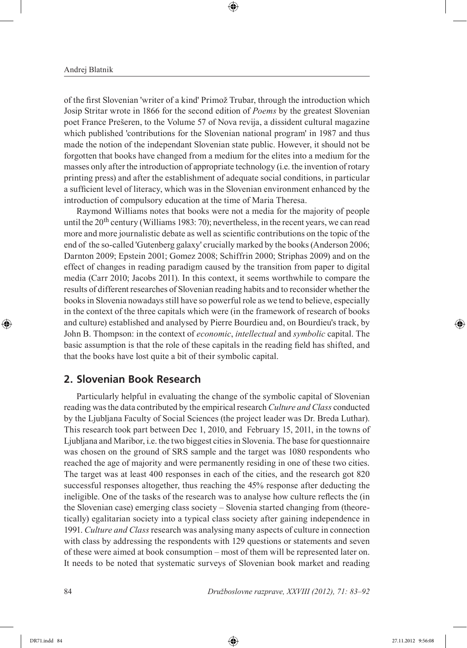of the first Slovenian 'writer of a kind' Primož Trubar, through the introduction which Josip Stritar wrote in 1866 for the second edition of *Poems* by the greatest Slovenian poet France Prešeren, to the Volume 57 of Nova revija, a dissident cultural magazine which published 'contributions for the Slovenian national program' in 1987 and thus made the notion of the independant Slovenian state public. However, it should not be forgotten that books have changed from a medium for the elites into a medium for the masses only after the introduction of appropriate technology (i.e. the invention of rotary printing press) and after the establishment of adequate social conditions, in particular a sufficient level of literacy, which was in the Slovenian environment enhanced by the introduction of compulsory education at the time of Maria Theresa.

Raymond Williams notes that books were not a media for the majority of people until the  $20<sup>th</sup>$  century (Williams 1983: 70); nevertheless, in the recent years, we can read more and more journalistic debate as well as scientific contributions on the topic of the end of the so-called 'Gutenberg galaxy' crucially marked by the books (Anderson 2006; Darnton 2009; Epstein 2001; Gomez 2008; Schiffrin 2000; Striphas 2009) and on the effect of changes in reading paradigm caused by the transition from paper to digital media (Carr 2010; Jacobs 2011). In this context, it seems worthwhile to compare the results of different researches of Slovenian reading habits and to reconsider whether the books in Slovenia nowadays still have so powerful role as we tend to believe, especially in the context of the three capitals which were (in the framework of research of books and culture) established and analysed by Pierre Bourdieu and, on Bourdieu's track, by John B. Thompson: in the context of *economic*, *intellectual* and *symbolic* capital. The basic assumption is that the role of these capitals in the reading field has shifted, and that the books have lost quite a bit of their symbolic capital.

## **2. Slovenian Book Research**

Particularly helpful in evaluating the change of the symbolic capital of Slovenian reading was the data contributed by the empirical research *Culture and Class* conducted by the Ljubljana Faculty of Social Sciences (the project leader was Dr. Breda Luthar). This research took part between Dec 1, 2010, and February 15, 2011, in the towns of Ljubljana and Maribor, i.e. the two biggest cities in Slovenia. The base for questionnaire was chosen on the ground of SRS sample and the target was 1080 respondents who reached the age of majority and were permanently residing in one of these two cities. The target was at least 400 responses in each of the cities, and the research got 820 successful responses altogether, thus reaching the 45% response after deducting the ineligible. One of the tasks of the research was to analyse how culture reflects the (in the Slovenian case) emerging class society – Slovenia started changing from (theoretically) egalitarian society into a typical class society after gaining independence in 1991. *Culture and Class* research was analysing many aspects of culture in connection with class by addressing the respondents with 129 questions or statements and seven of these were aimed at book consumption – most of them will be represented later on. It needs to be noted that systematic surveys of Slovenian book market and reading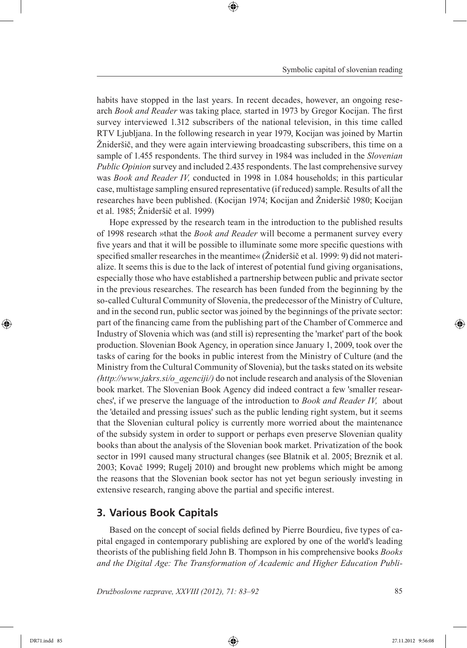habits have stopped in the last years. In recent decades, however, an ongoing research *Book and Reader* was taking place*,* started in 1973 by Gregor Kocijan. The first survey interviewed 1.312 subscribers of the national television, in this time called RTV Ljubljana. In the following research in year 1979, Kocijan was joined by Martin Žnideršič, and they were again interviewing broadcasting subscribers, this time on a sample of 1.455 respondents. The third survey in 1984 was included in the *Slovenian Public Opinion* survey and included 2.435 respondents. The last comprehensive survey was *Book and Reader IV,* conducted in 1998 in 1.084 households; in this particular case, multistage sampling ensured representative (if reduced) sample. Results of all the researches have been published. (Kocijan 1974; Kocijan and Žnideršič 1980; Kocijan et al. 1985; Žnideršič et al. 1999)

Hope expressed by the research team in the introduction to the published results of 1998 research »that the *Book and Reader* will become a permanent survey every five years and that it will be possible to illuminate some more specific questions with specified smaller researches in the meantime« (Žnideršič et al. 1999: 9) did not materialize. It seems this is due to the lack of interest of potential fund giving organisations, especially those who have established a partnership between public and private sector in the previous researches. The research has been funded from the beginning by the so-called Cultural Community of Slovenia, the predecessor of the Ministry of Culture, and in the second run, public sector was joined by the beginnings of the private sector: part of the financing came from the publishing part of the Chamber of Commerce and Industry of Slovenia which was (and still is) representing the 'market' part of the book production. Slovenian Book Agency, in operation since January 1, 2009, took over the tasks of caring for the books in public interest from the Ministry of Culture (and the Ministry from the Cultural Community of Slovenia), but the tasks stated on its website *(http://www.jakrs.si/o\_agenciji/)* do not include research and analysis of the Slovenian book market. The Slovenian Book Agency did indeed contract a few 'smaller researches', if we preserve the language of the introduction to *Book and Reader IV,* about the 'detailed and pressing issues' such as the public lending right system, but it seems that the Slovenian cultural policy is currently more worried about the maintenance of the subsidy system in order to support or perhaps even preserve Slovenian quality books than about the analysis of the Slovenian book market. Privatization of the book sector in 1991 caused many structural changes (see Blatnik et al. 2005; Breznik et al. 2003; Kovač 1999; Rugelj 2010) and brought new problems which might be among the reasons that the Slovenian book sector has not yet begun seriously investing in extensive research, ranging above the partial and specific interest.

#### **3. Various Book Capitals**

Based on the concept of social fields defined by Pierre Bourdieu, five types of capital engaged in contemporary publishing are explored by one of the world's leading theorists of the publishing field John B. Thompson in his comprehensive books *Books and the Digital Age: The Transformation of Academic and Higher Education Publi-*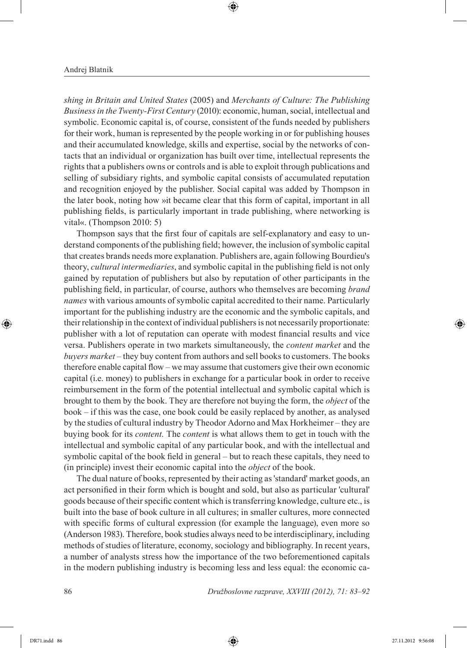*shing in Britain and United States* (2005) and *Merchants of Culture: The Publishing Business in the Twenty-First Century* (2010): economic, human, social, intellectual and symbolic. Economic capital is, of course, consistent of the funds needed by publishers for their work, human is represented by the people working in or for publishing houses and their accumulated knowledge, skills and expertise, social by the networks of contacts that an individual or organization has built over time, intellectual represents the rights that a publishers owns or controls and is able to exploit through publications and selling of subsidiary rights, and symbolic capital consists of accumulated reputation and recognition enjoyed by the publisher. Social capital was added by Thompson in the later book, noting how »it became clear that this form of capital, important in all publishing fields, is particularly important in trade publishing, where networking is vital«. (Thompson 2010: 5)

Thompson says that the first four of capitals are self-explanatory and easy to understand components of the publishing field; however, the inclusion of symbolic capital that creates brands needs more explanation. Publishers are, again following Bourdieu's theory, *cultural intermediaries*, and symbolic capital in the publishing field is not only gained by reputation of publishers but also by reputation of other participants in the publishing field, in particular, of course, authors who themselves are becoming *brand names* with various amounts of symbolic capital accredited to their name. Particularly important for the publishing industry are the economic and the symbolic capitals, and their relationship in the context of individual publishers is not necessarily proportionate: publisher with a lot of reputation can operate with modest financial results and vice versa. Publishers operate in two markets simultaneously, the *content market* and the *buyers market* – they buy content from authors and sell books to customers. The books therefore enable capital flow – we may assume that customers give their own economic capital (i.e. money) to publishers in exchange for a particular book in order to receive reimbursement in the form of the potential intellectual and symbolic capital which is brought to them by the book. They are therefore not buying the form, the *object* of the book *–* if this was the case, one book could be easily replaced by another, as analysed by the studies of cultural industry by Theodor Adorno and Max Horkheimer – they are buying book for its *content.* The *content* is what allows them to get in touch with the intellectual and symbolic capital of any particular book, and with the intellectual and symbolic capital of the book field in general – but to reach these capitals, they need to (in principle) invest their economic capital into the *object* of the book.

The dual nature of books, represented by their acting as 'standard' market goods, an act personified in their form which is bought and sold, but also as particular 'cultural' goods because of their specific content which is transferring knowledge, culture etc., is built into the base of book culture in all cultures; in smaller cultures, more connected with specific forms of cultural expression (for example the language), even more so (Anderson 1983). Therefore, book studies always need to be interdisciplinary, including methods of studies of literature, economy, sociology and bibliography. In recent years, a number of analysts stress how the importance of the two beforementioned capitals in the modern publishing industry is becoming less and less equal: the economic ca-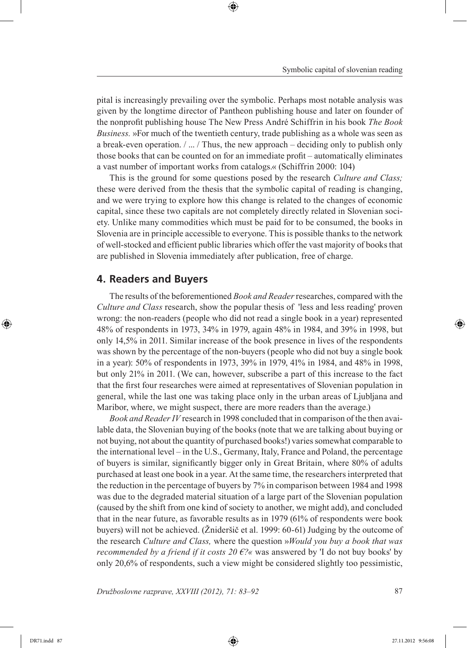pital is increasingly prevailing over the symbolic. Perhaps most notable analysis was given by the longtime director of Pantheon publishing house and later on founder of the nonprofit publishing house The New Press André Schiffrin in his book *The Book Business.* »For much of the twentieth century, trade publishing as a whole was seen as a break-even operation.  $/m / \ln x$  Thus, the new approach – deciding only to publish only those books that can be counted on for an immediate profit – automatically eliminates a vast number of important works from catalogs.« (Schiffrin 2000: 104)

This is the ground for some questions posed by the research *Culture and Class;*  these were derived from the thesis that the symbolic capital of reading is changing, and we were trying to explore how this change is related to the changes of economic capital, since these two capitals are not completely directly related in Slovenian society. Unlike many commodities which must be paid for to be consumed, the books in Slovenia are in principle accessible to everyone. This is possible thanks to the network of well-stocked and efficient public libraries which offer the vast majority of books that are published in Slovenia immediately after publication, free of charge.

#### **4. Readers and Buyers**

The results of the beforementioned *Book and Reader* researches, compared with the *Culture and Class* research, show the popular thesis of 'less and less reading' proven wrong: the non-readers (people who did not read a single book in a year) represented 48% of respondents in 1973, 34% in 1979, again 48% in 1984, and 39% in 1998, but only 14,5% in 2011. Similar increase of the book presence in lives of the respondents was shown by the percentage of the non-buyers (people who did not buy a single book in a year): 50% of respondents in 1973, 39% in 1979, 41% in 1984, and 48% in 1998, but only 21% in 2011. (We can, however, subscribe a part of this increase to the fact that the first four researches were aimed at representatives of Slovenian population in general, while the last one was taking place only in the urban areas of Ljubljana and Maribor, where, we might suspect, there are more readers than the average.)

*Book and Reader IV* research in 1998 concluded that in comparison of the then available data, the Slovenian buying of the books (note that we are talking about buying or not buying, not about the quantity of purchased books!) varies somewhat comparable to the international level – in the U.S., Germany, Italy, France and Poland, the percentage of buyers is similar, significantly bigger only in Great Britain, where 80% of adults purchased at least one book in a year. At the same time, the researchers interpreted that the reduction in the percentage of buyers by 7% in comparison between 1984 and 1998 was due to the degraded material situation of a large part of the Slovenian population (caused by the shift from one kind of society to another, we might add), and concluded that in the near future, as favorable results as in 1979 (61% of respondents were book buyers) will not be achieved. (Žnideršič et al. 1999: 60-61) Judging by the outcome of the research *Culture and Class,* where the question »*Would you buy a book that was recommended by a friend if it costs 20 €?«* was answered by 'I do not buy books' by only 20,6% of respondents, such a view might be considered slightly too pessimistic,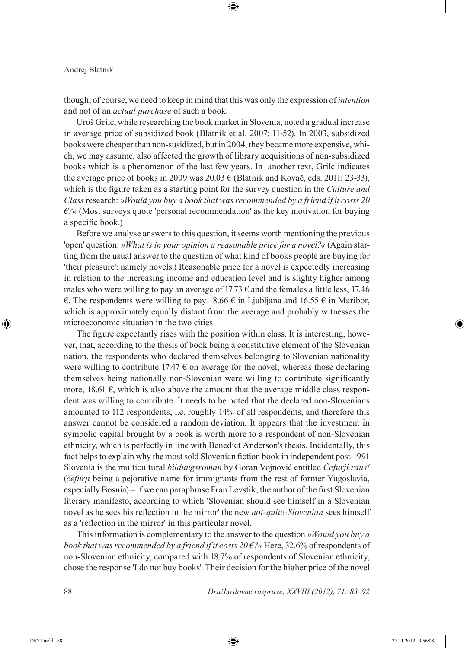though, of course, we need to keep in mind that this was only the expression of *intention* and not of an *actual purchase* of such a book.

Uroš Grilc, while researching the book market in Slovenia, noted a gradual increase in average price of subsidized book (Blatnik et al. 2007: 11-52). In 2003, subsidized books were cheaper than non-susidized, but in 2004, they became more expensive, which, we may assume, also affected the growth of library acquisitions of non-subsidized books which is a phenomenon of the last few years. In another text, Grilc indicates the average price of books in 2009 was  $20.03 \in (B$ latnik and Kovač, eds. 2011: 23-33), which is the figure taken as a starting point for the survey question in the *Culture and Class* research: *»Would you buy a book that was recommended by a friend if it costs 20 €?«* (Most surveys quote 'personal recommendation' as the key motivation for buying a specific book.)

Before we analyse answers to this question, it seems worth mentioning the previous 'open' question: *»What is in your opinion a reasonable price for a novel?«* (Again starting from the usual answer to the question of what kind of books people are buying for 'their pleasure': namely novels.) Reasonable price for a novel is expectedly increasing in relation to the increasing income and education level and is slighty higher among males who were willing to pay an average of 17.73  $\epsilon$  and the females a little less, 17.46 €. The respondents were willing to pay 18.66 € in Ljubljana and 16.55 € in Maribor, which is approximately equally distant from the average and probably witnesses the microeconomic situation in the two cities.

The figure expectantly rises with the position within class. It is interesting, however, that, according to the thesis of book being a constitutive element of the Slovenian nation, the respondents who declared themselves belonging to Slovenian nationality were willing to contribute 17.47  $\epsilon$  on average for the novel, whereas those declaring themselves being nationally non-Slovenian were willing to contribute significantly more, 18.61  $\epsilon$ , which is also above the amount that the average middle class respondent was willing to contribute. It needs to be noted that the declared non-Slovenians amounted to 112 respondents, i.e. roughly 14% of all respondents, and therefore this answer cannot be considered a random deviation. It appears that the investment in symbolic capital brought by a book is worth more to a respondent of non-Slovenian ethnicity, which is perfectly in line with Benedict Anderson's thesis. Incidentally, this fact helps to explain why the most sold Slovenian fiction book in independent post-1991 Slovenia is the multicultural *bildungsroman* by Goran Vojnović entitled *Čefurji raus!* (*čefurji* being a pejorative name for immigrants from the rest of former Yugoslavia, especially Bosnia) – if we can paraphrase Fran Levstik, the author of the first Slovenian literary manifesto, according to which 'Slovenian should see himself in a Slovenian novel as he sees his reflection in the mirror' the new *not-quite-Slovenian* sees himself as a 'reflection in the mirror' in this particular novel.

This information is complementary to the answer to the question *»Would you buy a book that was recommended by a friend if it costs 20 €?«* Here, 32.6% of respondents of non-Slovenian ethnicity, compared with 18.7% of respondents of Slovenian ethnicity, chose the response 'I do not buy books'. Their decision for the higher price of the novel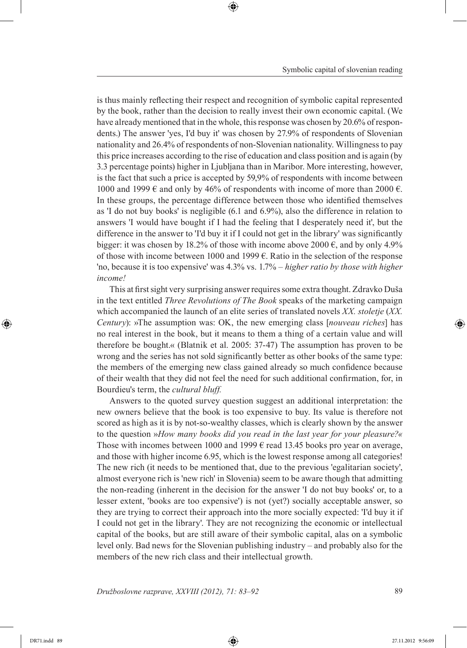is thus mainly reflecting their respect and recognition of symbolic capital represented by the book, rather than the decision to really invest their own economic capital. (We have already mentioned that in the whole, this response was chosen by 20.6% of respondents.) The answer 'yes, I'd buy it' was chosen by 27.9% of respondents of Slovenian nationality and 26.4% of respondents of non-Slovenian nationality. Willingness to pay this price increases according to the rise of education and class position and is again (by 3.3 percentage points) higher in Ljubljana than in Maribor. More interesting, however, is the fact that such a price is accepted by 59,9% of respondents with income between 1000 and 1999  $\epsilon$  and only by 46% of respondents with income of more than 2000  $\epsilon$ . In these groups, the percentage difference between those who identified themselves as 'I do not buy books' is negligible (6.1 and 6.9%), also the difference in relation to answers 'I would have bought if I had the feeling that I desperately need it', but the difference in the answer to 'I'd buy it if I could not get in the library' was significantly bigger: it was chosen by 18.2% of those with income above 2000  $\epsilon$ , and by only 4.9% of those with income between 1000 and 1999  $\epsilon$ . Ratio in the selection of the response 'no, because it is too expensive' was 4.3% vs. 1.7% – *higher ratio by those with higher income!*

This at first sight very surprising answer requires some extra thought. Zdravko Duša in the text entitled *Three Revolutions of The Book* speaks of the marketing campaign which accompanied the launch of an elite series of translated novels *XX. stoletje* (*XX. Century*): »The assumption was: OK, the new emerging class [*nouveau riches*] has no real interest in the book, but it means to them a thing of a certain value and will therefore be bought.« (Blatnik et al. 2005: 37-47) The assumption has proven to be wrong and the series has not sold significantly better as other books of the same type: the members of the emerging new class gained already so much confidence because of their wealth that they did not feel the need for such additional confirmation, for, in Bourdieu's term, the *cultural bluff.*

Answers to the quoted survey question suggest an additional interpretation: the new owners believe that the book is too expensive to buy. Its value is therefore not scored as high as it is by not-so-wealthy classes, which is clearly shown by the answer to the question »*How many books did you read in the last year for your pleasure?«*  Those with incomes between 1000 and 1999  $\epsilon$  read 13.45 books pro year on average, and those with higher income 6.95, which is the lowest response among all categories! The new rich (it needs to be mentioned that, due to the previous 'egalitarian society', almost everyone rich is 'new rich' in Slovenia) seem to be aware though that admitting the non-reading (inherent in the decision for the answer 'I do not buy books' or, to a lesser extent, 'books are too expensive') is not (yet?) socially acceptable answer, so they are trying to correct their approach into the more socially expected: 'I'd buy it if I could not get in the library'. They are not recognizing the economic or intellectual capital of the books, but are still aware of their symbolic capital, alas on a symbolic level only. Bad news for the Slovenian publishing industry – and probably also for the members of the new rich class and their intellectual growth.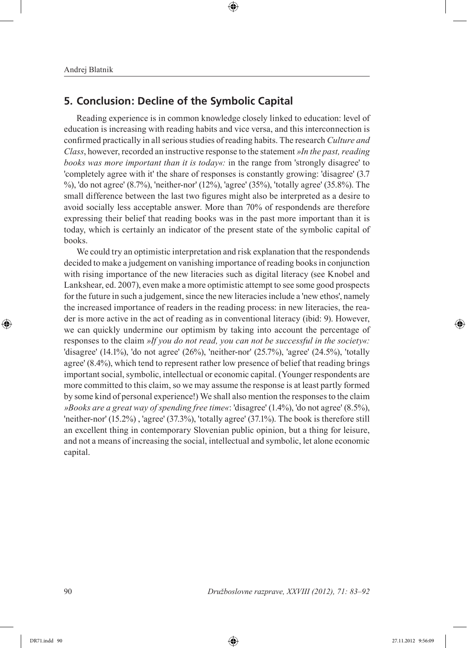## **5. Conclusion: Decline of the Symbolic Capital**

Reading experience is in common knowledge closely linked to education: level of education is increasing with reading habits and vice versa, and this interconnection is confirmed practically in all serious studies of reading habits. The research *Culture and Class*, however, recorded an instructive response to the statement *»In the past, reading books was more important than it is today«:* in the range from 'strongly disagree' to 'completely agree with it' the share of responses is constantly growing: 'disagree' (3.7 %), 'do not agree' (8.7%), 'neither-nor' (12%), 'agree' (35%), 'totally agree' (35.8%). The small difference between the last two figures might also be interpreted as a desire to avoid socially less acceptable answer. More than 70% of respondends are therefore expressing their belief that reading books was in the past more important than it is today, which is certainly an indicator of the present state of the symbolic capital of books.

We could try an optimistic interpretation and risk explanation that the respondends decided to make a judgement on vanishing importance of reading books in conjunction with rising importance of the new literacies such as digital literacy (see Knobel and Lankshear, ed. 2007), even make a more optimistic attempt to see some good prospects for the future in such a judgement, since the new literacies include a 'new ethos', namely the increased importance of readers in the reading process: in new literacies, the reader is more active in the act of reading as in conventional literacy (ibid: 9). However, we can quickly undermine our optimism by taking into account the percentage of responses to the claim *»If you do not read, you can not be successful in the society«:* 'disagree' (14.1%), 'do not agree' (26%), 'neither-nor' (25.7%), 'agree' (24.5%), 'totally agree' (8.4%), which tend to represent rather low presence of belief that reading brings important social, symbolic, intellectual or economic capital. (Younger respondents are more committed to this claim, so we may assume the response is at least partly formed by some kind of personal experience!) We shall also mention the responses to the claim *»Books are a great way of spending free time«*: 'disagree' (1.4%), 'do not agree' (8.5%), 'neither-nor' (15.2%) , 'agree' (37.3%), 'totally agree' (37.1%). The book is therefore still an excellent thing in contemporary Slovenian public opinion, but a thing for leisure, and not a means of increasing the social, intellectual and symbolic, let alone economic capital.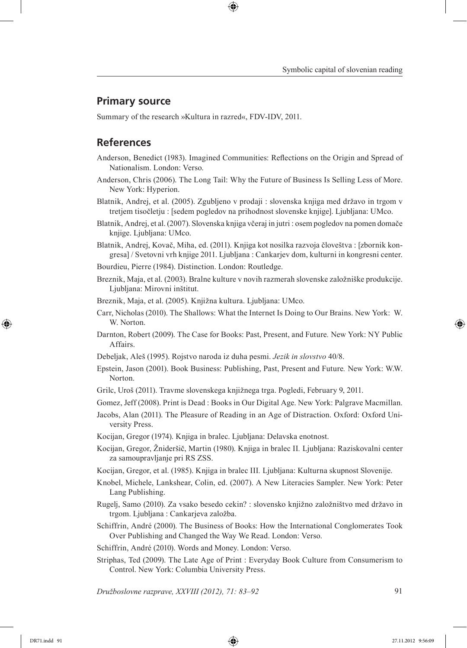### **Primary source**

Summary of the research »Kultura in razred«, FDV-IDV, 2011.

# **References**

- Anderson, Benedict (1983). Imagined Communities: Reflections on the Origin and Spread of Nationalism. London: Verso.
- Anderson, Chris (2006). The Long Tail: Why the Future of Business Is Selling Less of More. New York: Hyperion.
- Blatnik, Andrej, et al. (2005). Zgubljeno v prodaji : slovenska knjiga med državo in trgom v tretjem tisočletju : [sedem pogledov na prihodnost slovenske knjige]. Ljubljana: UMco.
- Blatnik, Andrej, et al. (2007). Slovenska knjiga včeraj in jutri : osem pogledov na pomen domače knjige. Ljubljana: UMco.
- Blatnik, Andrej, Kovač, Miha, ed. (2011). Knjiga kot nosilka razvoja človeštva : [zbornik kongresa] / Svetovni vrh knjige 2011. Ljubljana : Cankarjev dom, kulturni in kongresni center.
- Bourdieu, Pierre (1984). Distinction. London: Routledge.
- Breznik, Maja, et al. (2003). Bralne kulture v novih razmerah slovenske založniške produkcije. Ljubljana: Mirovni inštitut.
- Breznik, Maja, et al. (2005). Knjižna kultura. Ljubljana: UMco.
- Carr, Nicholas (2010). The Shallows: What the Internet Is Doing to Our Brains. New York: W. W. Norton.
- Darnton, Robert (2009). The Case for Books: Past, Present, and Future. New York: NY Public Affairs.
- Debeljak, Aleš (1995). Rojstvo naroda iz duha pesmi. *Jezik in slovstvo* 40/8.
- Epstein, Jason (2001). Book Business: Publishing, Past, Present and Future*.* New York: W.W. Norton.
- Grilc, Uroš (2011). Travme slovenskega knjižnega trga. Pogledi, February 9, 2011.
- Gomez, Jeff (2008). Print is Dead : Books in Our Digital Age. New York: Palgrave Macmillan.
- Jacobs, Alan (2011). The Pleasure of Reading in an Age of Distraction. Oxford: Oxford University Press.
- Kocijan, Gregor (1974). Knjiga in bralec. Ljubljana: Delavska enotnost.
- Kocijan, Gregor, Žnideršič, Martin (1980). Knjiga in bralec II*.* Ljubljana: Raziskovalni center za samoupravljanje pri RS ZSS.
- Kocijan, Gregor, et al. (1985). Knjiga in bralec III*.* Ljubljana: Kulturna skupnost Slovenije.
- Knobel, Michele, Lankshear, Colin, ed. (2007). A New Literacies Sampler. New York: Peter Lang Publishing.
- Rugelj, Samo (2010). Za vsako besedo cekin? : slovensko knjižno založništvo med državo in trgom. Ljubljana : Cankarjeva založba.
- Schiffrin, André (2000). The Business of Books: How the International Conglomerates Took Over Publishing and Changed the Way We Read. London: Verso.
- Schiffrin, André (2010). Words and Money. London: Verso.
- Striphas, Ted (2009). The Late Age of Print : Everyday Book Culture from Consumerism to Control. New York: Columbia University Press.